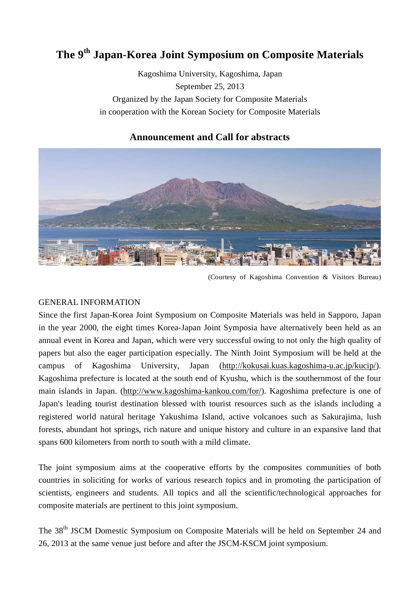# **The 9th Japan-Korea Joint Symposium on Composite Materials**

Kagoshima University, Kagoshima, Japan September 25, 2013 Organized by the Japan Society for Composite Materials in cooperation with the Korean Society for Composite Materials

## **Announcement and Call for abstracts**



(Courtesy of Kagoshima Convention & Visitors Bureau)

### GENERAL INFORMATION

Since the first Japan-Korea Joint Symposium on Composite Materials was held in Sapporo, Japan in the year 2000, the eight times Korea-Japan Joint Symposia have alternatively been held as an annual event in Korea and Japan, which were very successful owing to not only the high quality of papers but also the eager participation especially. The Ninth Joint Symposium will be held at the campus of Kagoshima University, Japan (http://kokusai.kuas.kagoshima-u.ac.jp/kucip/). Kagoshima prefecture is located at the south end of Kyushu, which is the southernmost of the four main islands in Japan. (http://www.kagoshima-kankou.com/for/). Kagoshima prefecture is one of Japan's leading tourist destination blessed with tourist resources such as the islands including a registered world natural heritage Yakushima Island, active volcanoes such as Sakurajima, lush forests, abundant hot springs, rich nature and unique history and culture in an expansive land that spans 600 kilometers from north to south with a mild climate.

The joint symposium aims at the cooperative efforts by the composites communities of both countries in soliciting for works of various research topics and in promoting the participation of scientists, engineers and students. All topics and all the scientific/technological approaches for composite materials are pertinent to this joint symposium.

The 38<sup>th</sup> JSCM Domestic Symposium on Composite Materials will be held on September 24 and 26, 2013 at the same venue just before and after the JSCM-KSCM joint symposium.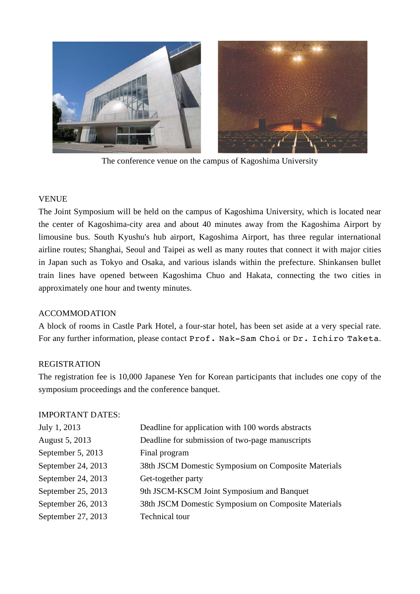

The conference venue on the campus of Kagoshima University

### VENUE

The Joint Symposium will be held on the campus of Kagoshima University, which is located near the center of Kagoshima-city area and about 40 minutes away from the Kagoshima Airport by limousine bus. South Kyushu's hub airport, Kagoshima Airport, has three regular international airline routes; Shanghai, Seoul and Taipei as well as many routes that connect it with major cities in Japan such as Tokyo and Osaka, and various islands within the prefecture. Shinkansen bullet train lines have opened between Kagoshima Chuo and Hakata, connecting the two cities in approximately one hour and twenty minutes.

### ACCOMMODATION

A block of rooms in Castle Park Hotel, a four-star hotel, has been set aside at a very special rate. For any further information, please contact Prof. Nak-Sam Choi or Dr. Ichiro Taketa.

### **REGISTRATION**

The registration fee is 10,000 Japanese Yen for Korean participants that includes one copy of the symposium proceedings and the conference banquet.

#### IMPORTANT DATES:

| July 1, 2013       | Deadline for application with 100 words abstracts   |
|--------------------|-----------------------------------------------------|
| August 5, 2013     | Deadline for submission of two-page manuscripts     |
| September 5, 2013  | Final program                                       |
| September 24, 2013 | 38th JSCM Domestic Symposium on Composite Materials |
| September 24, 2013 | Get-together party                                  |
| September 25, 2013 | 9th JSCM-KSCM Joint Symposium and Banquet           |
| September 26, 2013 | 38th JSCM Domestic Symposium on Composite Materials |
| September 27, 2013 | Technical tour                                      |
|                    |                                                     |